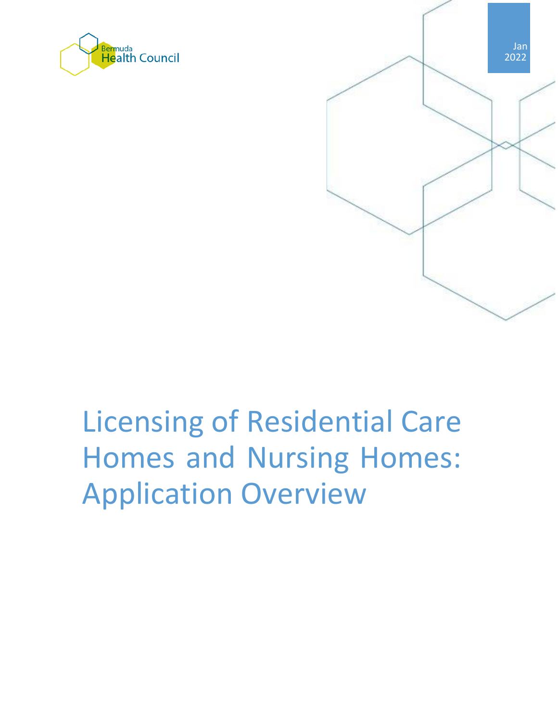



# Licensing of Residential Care Homes and Nursing Homes: Application Overview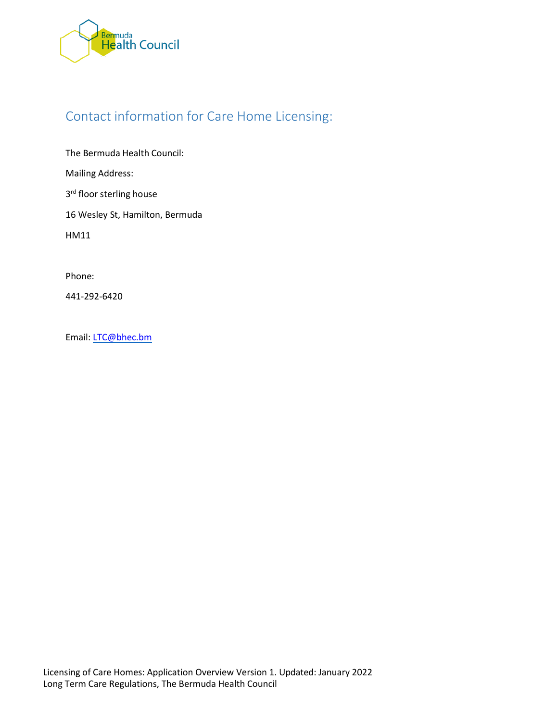

# Contact information for Care Home Licensing:

The Bermuda Health Council: Mailing Address: 3<sup>rd</sup> floor sterling house

16 Wesley St, Hamilton, Bermuda

HM11

Phone:

441-292-6420

Email: [LTC@bhec.bm](mailto:LTC@bhec.bm)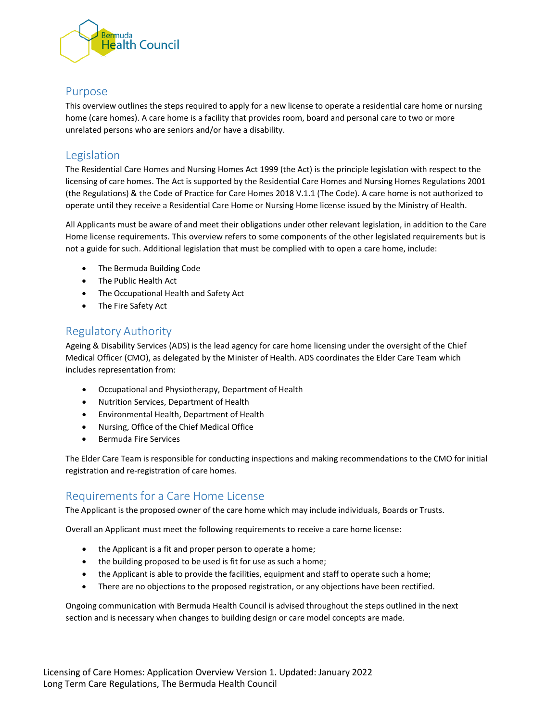

#### Purpose

This overview outlines the steps required to apply for a new license to operate a residential care home or nursing home (care homes). A care home is a facility that provides room, board and personal care to two or more unrelated persons who are seniors and/or have a disability.

#### Legislation

The Residential Care Homes and Nursing Homes Act 1999 (the Act) is the principle legislation with respect to the licensing of care homes. The Act is supported by the Residential Care Homes and Nursing Homes Regulations 2001 (the Regulations) & the Code of Practice for Care Homes 2018 V.1.1 (The Code). A care home is not authorized to operate until they receive a Residential Care Home or Nursing Home license issued by the Ministry of Health.

All Applicants must be aware of and meet their obligations under other relevant legislation, in addition to the Care Home license requirements. This overview refers to some components of the other legislated requirements but is not a guide for such. Additional legislation that must be complied with to open a care home, include:

- The Bermuda Building Code
- The Public Health Act
- The Occupational Health and Safety Act
- The Fire Safety Act

#### Regulatory Authority

Ageing & Disability Services (ADS) is the lead agency for care home licensing under the oversight of the Chief Medical Officer (CMO), as delegated by the Minister of Health. ADS coordinates the Elder Care Team which includes representation from:

- Occupational and Physiotherapy, Department of Health
- Nutrition Services, Department of Health
- Environmental Health, Department of Health
- Nursing, Office of the Chief Medical Office
- Bermuda Fire Services

The Elder Care Team is responsible for conducting inspections and making recommendations to the CMO for initial registration and re-registration of care homes.

#### Requirements for a Care Home License

The Applicant is the proposed owner of the care home which may include individuals, Boards or Trusts.

Overall an Applicant must meet the following requirements to receive a care home license:

- the Applicant is a fit and proper person to operate a home;
- the building proposed to be used is fit for use as such a home;
- the Applicant is able to provide the facilities, equipment and staff to operate such a home;
- There are no objections to the proposed registration, or any objections have been rectified.

Ongoing communication with Bermuda Health Council is advised throughout the steps outlined in the next section and is necessary when changes to building design or care model concepts are made.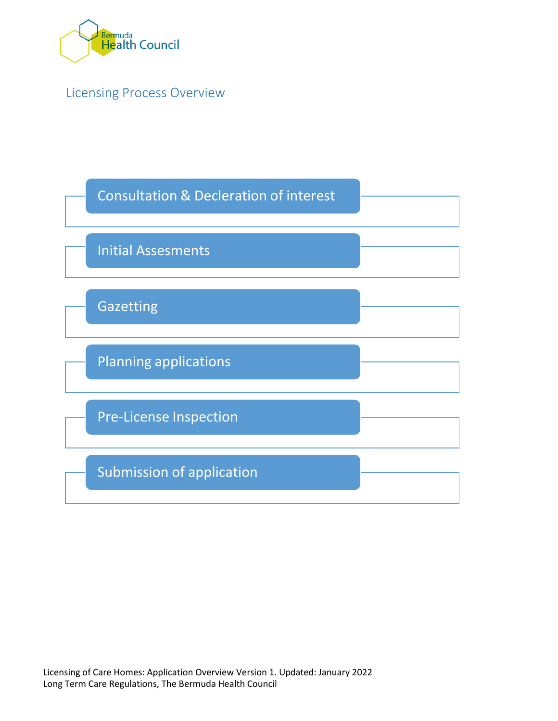

Licensing Process Overview

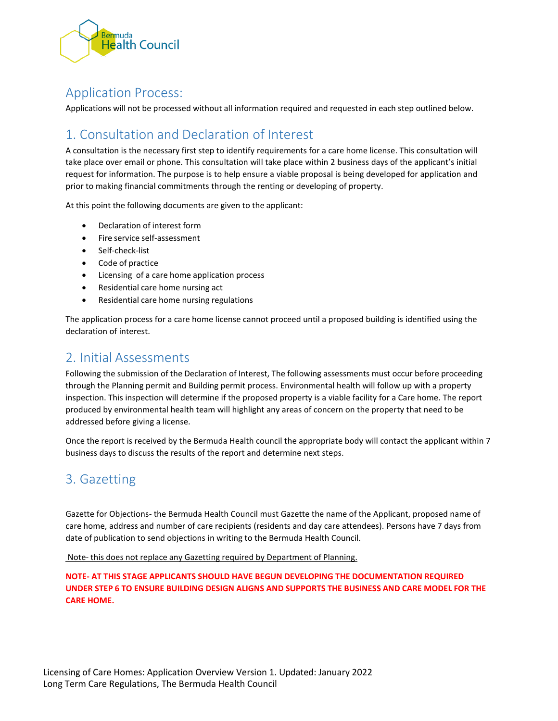

## Application Process:

Applications will not be processed without all information required and requested in each step outlined below.

# 1. Consultation and Declaration of Interest

A consultation is the necessary first step to identify requirements for a care home license. This consultation will take place over email or phone. This consultation will take place within 2 business days of the applicant's initial request for information. The purpose is to help ensure a viable proposal is being developed for application and prior to making financial commitments through the renting or developing of property.

At this point the following documents are given to the applicant:

- Declaration of interest form
- Fire service self-assessment
- Self-check-list
- Code of practice
- Licensing of a care home application process
- Residential care home nursing act
- Residential care home nursing regulations

The application process for a care home license cannot proceed until a proposed building is identified using the declaration of interest.

## 2. Initial Assessments

Following the submission of the Declaration of Interest, The following assessments must occur before proceeding through the Planning permit and Building permit process. Environmental health will follow up with a property inspection. This inspection will determine if the proposed property is a viable facility for a Care home. The report produced by environmental health team will highlight any areas of concern on the property that need to be addressed before giving a license.

Once the report is received by the Bermuda Health council the appropriate body will contact the applicant within 7 business days to discuss the results of the report and determine next steps.

# 3. Gazetting

Gazette for Objections- the Bermuda Health Council must Gazette the name of the Applicant, proposed name of care home, address and number of care recipients (residents and day care attendees). Persons have 7 days from date of publication to send objections in writing to the Bermuda Health Council.

Note- this does not replace any Gazetting required by Department of Planning.

**NOTE- AT THIS STAGE APPLICANTS SHOULD HAVE BEGUN DEVELOPING THE DOCUMENTATION REQUIRED UNDER STEP 6 TO ENSURE BUILDING DESIGN ALIGNS AND SUPPORTS THE BUSINESS AND CARE MODEL FOR THE CARE HOME.**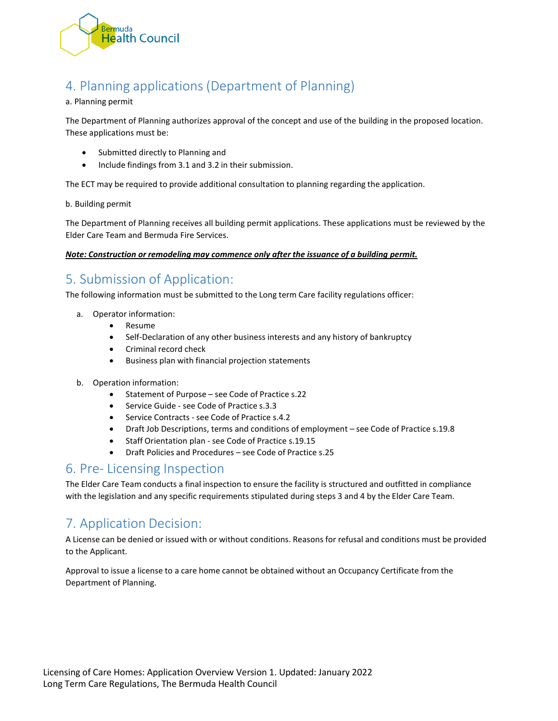

# 4. Planning applications (Department of Planning)

#### a. Planning permit

The Department of Planning authorizes approval of the concept and use of the building in the proposed location. These applications must be:

- Submitted directly to Planning and
- Include findings from 3.1 and 3.2 in their submission.

The ECT may be required to provide additional consultation to planning regarding the application.

#### b. Building permit

The Department of Planning receives all building permit applications. These applications must be reviewed by the Elder Care Team and Bermuda Fire Services.

*Note: Construction or remodeling may commence only after the issuance of a building permit.*

# 5. Submission of Application:

The following information must be submitted to the Long term Care facility regulations officer:

- a. Operator information:
	- Resume
	- Self-Declaration of any other business interests and any history of bankruptcy
	- Criminal record check
	- Business plan with financial projection statements
- b. Operation information:
	- Statement of Purpose see Code of Practice s.22
	- Service Guide see Code of Practice s.3.3
	- Service Contracts see Code of Practice s.4.2
	- Draft Job Descriptions, terms and conditions of employment see Code of Practice s.19.8
	- Staff Orientation plan see Code of Practice s.19.15
	- Draft Policies and Procedures see Code of Practice s.25

#### 6. Pre- Licensing Inspection

The Elder Care Team conducts a final inspection to ensure the facility is structured and outfitted in compliance with the legislation and any specific requirements stipulated during steps 3 and 4 by the Elder Care Team.

# 7. Application Decision:

A License can be denied or issued with or without conditions. Reasons for refusal and conditions must be provided to the Applicant.

Approval to issue a license to a care home cannot be obtained without an Occupancy Certificate from the Department of Planning.